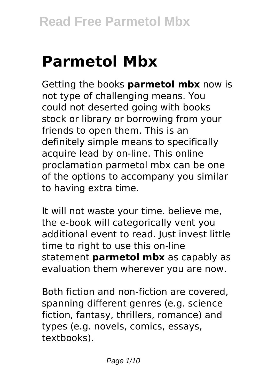# **Parmetol Mbx**

Getting the books **parmetol mbx** now is not type of challenging means. You could not deserted going with books stock or library or borrowing from your friends to open them. This is an definitely simple means to specifically acquire lead by on-line. This online proclamation parmetol mbx can be one of the options to accompany you similar to having extra time.

It will not waste your time. believe me, the e-book will categorically vent you additional event to read. Just invest little time to right to use this on-line statement **parmetol mbx** as capably as evaluation them wherever you are now.

Both fiction and non-fiction are covered, spanning different genres (e.g. science fiction, fantasy, thrillers, romance) and types (e.g. novels, comics, essays, textbooks).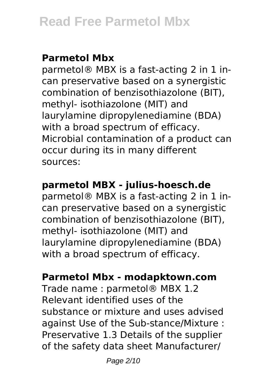# **Parmetol Mbx**

parmetol® MBX is a fast-acting 2 in 1 incan preservative based on a synergistic combination of benzisothiazolone (BIT), methyl- isothiazolone (MIT) and laurylamine dipropylenediamine (BDA) with a broad spectrum of efficacy. Microbial contamination of a product can occur during its in many different sources:

# **parmetol MBX - julius-hoesch.de**

parmetol® MBX is a fast-acting 2 in 1 incan preservative based on a synergistic combination of benzisothiazolone (BIT), methyl- isothiazolone (MIT) and laurylamine dipropylenediamine (BDA) with a broad spectrum of efficacy.

# **Parmetol Mbx - modapktown.com**

Trade name : parmetol® MBX 1.2 Relevant identified uses of the substance or mixture and uses advised against Use of the Sub-stance/Mixture : Preservative 1.3 Details of the supplier of the safety data sheet Manufacturer/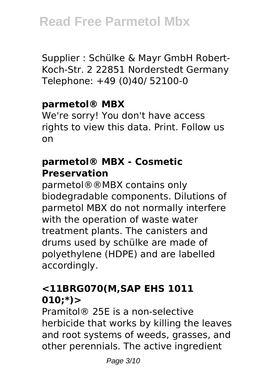Supplier : Schülke & Mayr GmbH Robert-Koch-Str. 2 22851 Norderstedt Germany Telephone: +49 (0)40/ 52100-0

## **parmetol® MBX**

We're sorry! You don't have access rights to view this data. Print. Follow us on

## **parmetol® MBX - Cosmetic Preservation**

parmetol®®MBX contains only biodegradable components. Dilutions of parmetol MBX do not normally interfere with the operation of waste water treatment plants. The canisters and drums used by schülke are made of polyethylene (HDPE) and are labelled accordingly.

# **<11BRG070(M,SAP EHS 1011 010;\*)>**

Pramitol® 25E is a non-selective herbicide that works by killing the leaves and root systems of weeds, grasses, and other perennials. The active ingredient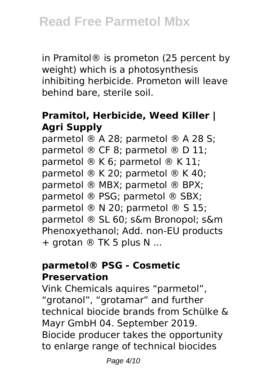in Pramitol® is prometon (25 percent by weight) which is a photosynthesis inhibiting herbicide. Prometon will leave behind bare, sterile soil.

# **Pramitol, Herbicide, Weed Killer | Agri Supply**

parmetol ® A 28; parmetol ® A 28 S; parmetol ® CF 8; parmetol ® D 11; parmetol ® K 6; parmetol ® K 11; parmetol ® K 20; parmetol ® K 40; parmetol ® MBX; parmetol ® BPX; parmetol ® PSG; parmetol ® SBX; parmetol ® N 20; parmetol ® S 15; parmetol ® SL 60; s&m Bronopol; s&m Phenoxyethanol; Add. non-EU products + grotan ® TK 5 plus N ...

## **parmetol® PSG - Cosmetic Preservation**

Vink Chemicals aquires "parmetol", "grotanol", "grotamar" and further technical biocide brands from Schülke & Mayr GmbH 04. September 2019. Biocide producer takes the opportunity to enlarge range of technical biocides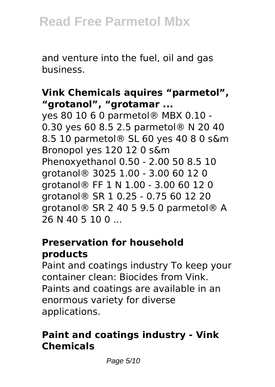and venture into the fuel, oil and gas business.

## **Vink Chemicals aquires "parmetol", "grotanol", "grotamar ...**

yes 80 10 6 0 parmetol® MBX 0.10 - 0.30 yes 60 8.5 2.5 parmetol® N 20 40 8.5 10 parmetol® SL 60 yes 40 8 0 s&m Bronopol yes 120 12 0 s&m Phenoxyethanol 0.50 - 2.00 50 8.5 10 grotanol® 3025 1.00 - 3.00 60 12 0 grotanol® FF 1 N 1.00 - 3.00 60 12 0 grotanol® SR 1 0.25 - 0.75 60 12 20 grotanol® SR 2 40 5 9.5 0 parmetol® A 26 N 40 5 10 0 ...

## **Preservation for household products**

Paint and coatings industry To keep your container clean: Biocides from Vink. Paints and coatings are available in an enormous variety for diverse applications.

# **Paint and coatings industry - Vink Chemicals**

Page 5/10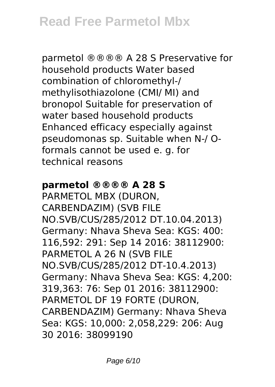parmetol ®®®® A 28 S Preservative for household products Water based combination of chloromethyl-/ methylisothiazolone (CMI/ MI) and bronopol Suitable for preservation of water based household products Enhanced efficacy especially against pseudomonas sp. Suitable when N-/ Oformals cannot be used e. g. for technical reasons

#### **parmetol ®®®® A 28 S**

PARMETOL MBX (DURON, CARBENDAZIM) (SVB FILE NO.SVB/CUS/285/2012 DT.10.04.2013) Germany: Nhava Sheva Sea: KGS: 400: 116,592: 291: Sep 14 2016: 38112900: PARMETOL A 26 N (SVB FILE NO.SVB/CUS/285/2012 DT-10.4.2013) Germany: Nhava Sheva Sea: KGS: 4,200: 319,363: 76: Sep 01 2016: 38112900: PARMETOL DF 19 FORTE (DURON, CARBENDAZIM) Germany: Nhava Sheva Sea: KGS: 10,000: 2,058,229: 206: Aug 30 2016: 38099190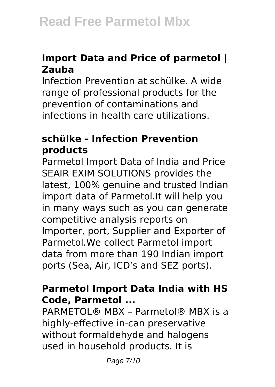## **Import Data and Price of parmetol | Zauba**

Infection Prevention at schülke. A wide range of professional products for the prevention of contaminations and infections in health care utilizations.

## **schülke - Infection Prevention products**

Parmetol Import Data of India and Price SEAIR EXIM SOLUTIONS provides the latest, 100% genuine and trusted Indian import data of Parmetol.It will help you in many ways such as you can generate competitive analysis reports on Importer, port, Supplier and Exporter of Parmetol.We collect Parmetol import data from more than 190 Indian import ports (Sea, Air, ICD's and SEZ ports).

# **Parmetol Import Data India with HS Code, Parmetol ...**

PARMETOL® MBX – Parmetol® MBX is a highly-effective in-can preservative without formaldehyde and halogens used in household products. It is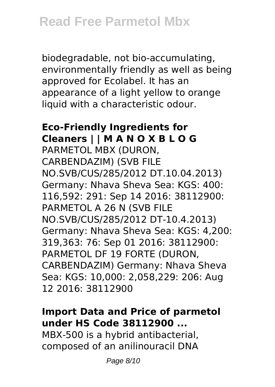biodegradable, not bio-accumulating, environmentally friendly as well as being approved for Ecolabel. It has an appearance of a light yellow to orange liquid with a characteristic odour.

## **Eco-Friendly Ingredients for Cleaners | | M A N O X B L O G**

PARMETOL MBX (DURON, CARBENDAZIM) (SVB FILE NO.SVB/CUS/285/2012 DT.10.04.2013) Germany: Nhava Sheva Sea: KGS: 400: 116,592: 291: Sep 14 2016: 38112900: PARMETOL A 26 N (SVB FILE NO.SVB/CUS/285/2012 DT-10.4.2013) Germany: Nhava Sheva Sea: KGS: 4,200: 319,363: 76: Sep 01 2016: 38112900: PARMETOL DF 19 FORTE (DURON, CARBENDAZIM) Germany: Nhava Sheva Sea: KGS: 10,000: 2,058,229: 206: Aug 12 2016: 38112900

## **Import Data and Price of parmetol under HS Code 38112900 ...**

MBX-500 is a hybrid antibacterial, composed of an anilinouracil DNA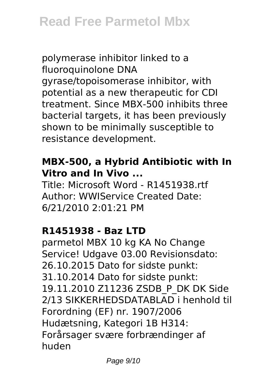polymerase inhibitor linked to a fluoroquinolone DNA gyrase/topoisomerase inhibitor, with potential as a new therapeutic for CDI treatment. Since MBX-500 inhibits three bacterial targets, it has been previously shown to be minimally susceptible to resistance development.

## **MBX-500, a Hybrid Antibiotic with In Vitro and In Vivo ...**

Title: Microsoft Word - R1451938.rtf Author: WWIService Created Date: 6/21/2010 2:01:21 PM

## **R1451938 - Baz LTD**

parmetol MBX 10 kg KA No Change Service! Udgave 03.00 Revisionsdato: 26.10.2015 Dato for sidste punkt: 31.10.2014 Dato for sidste punkt: 19.11.2010 Z11236 ZSDB\_P\_DK DK Side 2/13 SIKKERHEDSDATABLAD i henhold til Forordning (EF) nr. 1907/2006 Hudætsning, Kategori 1B H314: Forårsager svære forbrændinger af huden